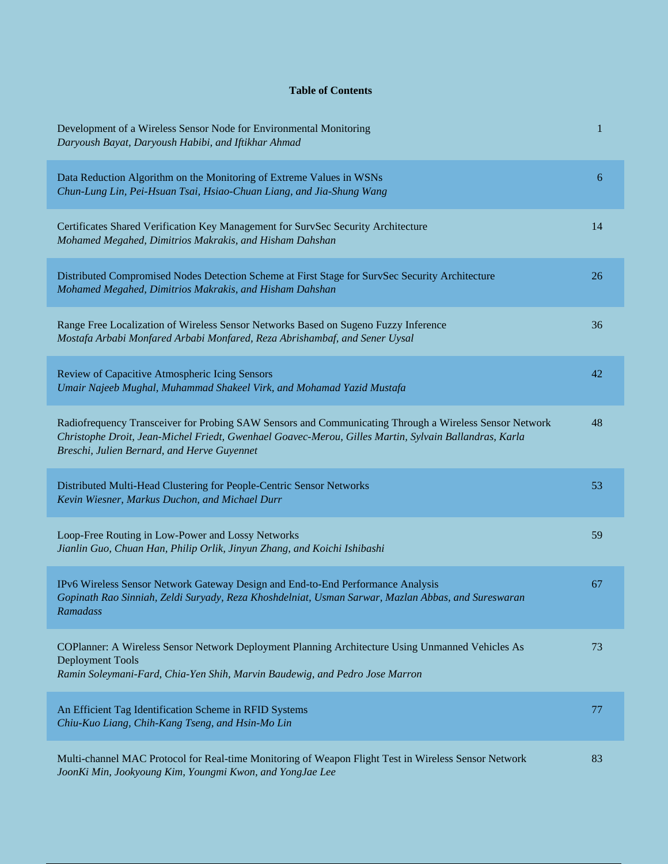## **Table of Contents**

| Development of a Wireless Sensor Node for Environmental Monitoring<br>Daryoush Bayat, Daryoush Habibi, and Iftikhar Ahmad                                                                                                                                      | 1  |
|----------------------------------------------------------------------------------------------------------------------------------------------------------------------------------------------------------------------------------------------------------------|----|
| Data Reduction Algorithm on the Monitoring of Extreme Values in WSNs<br>Chun-Lung Lin, Pei-Hsuan Tsai, Hsiao-Chuan Liang, and Jia-Shung Wang                                                                                                                   | 6  |
| Certificates Shared Verification Key Management for SurvSec Security Architecture<br>Mohamed Megahed, Dimitrios Makrakis, and Hisham Dahshan                                                                                                                   | 14 |
| Distributed Compromised Nodes Detection Scheme at First Stage for SurvSec Security Architecture<br>Mohamed Megahed, Dimitrios Makrakis, and Hisham Dahshan                                                                                                     | 26 |
| Range Free Localization of Wireless Sensor Networks Based on Sugeno Fuzzy Inference<br>Mostafa Arbabi Monfared Arbabi Monfared, Reza Abrishambaf, and Sener Uysal                                                                                              | 36 |
| Review of Capacitive Atmospheric Icing Sensors<br>Umair Najeeb Mughal, Muhammad Shakeel Virk, and Mohamad Yazid Mustafa                                                                                                                                        | 42 |
| Radiofrequency Transceiver for Probing SAW Sensors and Communicating Through a Wireless Sensor Network<br>Christophe Droit, Jean-Michel Friedt, Gwenhael Goavec-Merou, Gilles Martin, Sylvain Ballandras, Karla<br>Breschi, Julien Bernard, and Herve Guyennet | 48 |
| Distributed Multi-Head Clustering for People-Centric Sensor Networks<br>Kevin Wiesner, Markus Duchon, and Michael Durr                                                                                                                                         | 53 |
| Loop-Free Routing in Low-Power and Lossy Networks<br>Jianlin Guo, Chuan Han, Philip Orlik, Jinyun Zhang, and Koichi Ishibashi                                                                                                                                  | 59 |
| IPv6 Wireless Sensor Network Gateway Design and End-to-End Performance Analysis<br>Gopinath Rao Sinniah, Zeldi Suryady, Reza Khoshdelniat, Usman Sarwar, Mazlan Abbas, and Sureswaran<br>Ramadass                                                              | 67 |
| COPlanner: A Wireless Sensor Network Deployment Planning Architecture Using Unmanned Vehicles As<br>Deployment Tools<br>Ramin Soleymani-Fard, Chia-Yen Shih, Marvin Baudewig, and Pedro Jose Marron                                                            | 73 |
| An Efficient Tag Identification Scheme in RFID Systems<br>Chiu-Kuo Liang, Chih-Kang Tseng, and Hsin-Mo Lin                                                                                                                                                     | 77 |
| Multi-channel MAC Protocol for Real-time Monitoring of Weapon Flight Test in Wireless Sensor Network<br>JoonKi Min, Jookyoung Kim, Youngmi Kwon, and YongJae Lee                                                                                               | 83 |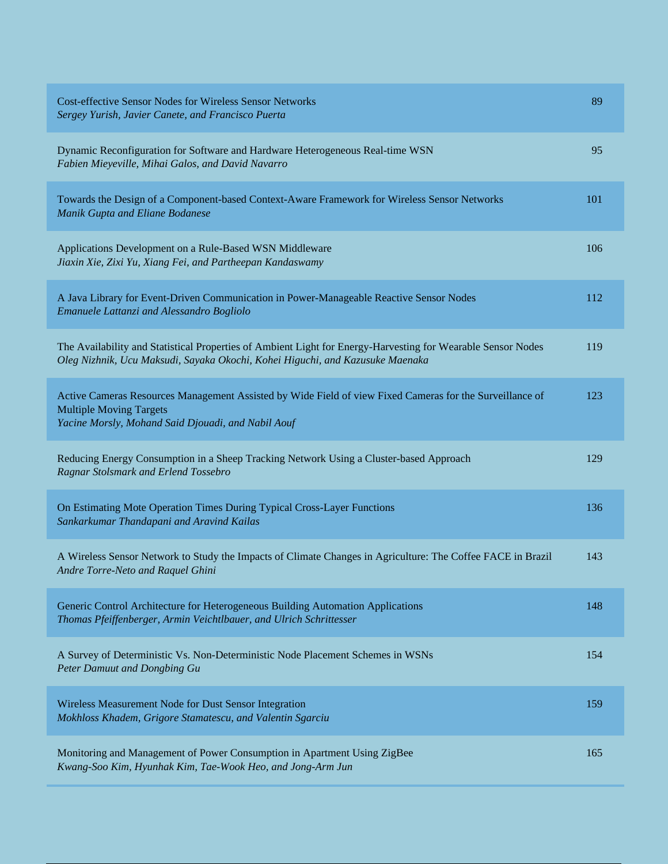| <b>Cost-effective Sensor Nodes for Wireless Sensor Networks</b><br>Sergey Yurish, Javier Canete, and Francisco Puerta                                                                            | 89  |
|--------------------------------------------------------------------------------------------------------------------------------------------------------------------------------------------------|-----|
| Dynamic Reconfiguration for Software and Hardware Heterogeneous Real-time WSN<br>Fabien Mieyeville, Mihai Galos, and David Navarro                                                               | 95  |
| Towards the Design of a Component-based Context-Aware Framework for Wireless Sensor Networks<br>Manik Gupta and Eliane Bodanese                                                                  | 101 |
| Applications Development on a Rule-Based WSN Middleware<br>Jiaxin Xie, Zixi Yu, Xiang Fei, and Partheepan Kandaswamy                                                                             | 106 |
| A Java Library for Event-Driven Communication in Power-Manageable Reactive Sensor Nodes<br>Emanuele Lattanzi and Alessandro Bogliolo                                                             | 112 |
| The Availability and Statistical Properties of Ambient Light for Energy-Harvesting for Wearable Sensor Nodes<br>Oleg Nizhnik, Ucu Maksudi, Sayaka Okochi, Kohei Higuchi, and Kazusuke Maenaka    | 119 |
| Active Cameras Resources Management Assisted by Wide Field of view Fixed Cameras for the Surveillance of<br><b>Multiple Moving Targets</b><br>Yacine Morsly, Mohand Said Djouadi, and Nabil Aouf | 123 |
| Reducing Energy Consumption in a Sheep Tracking Network Using a Cluster-based Approach<br>Ragnar Stolsmark and Erlend Tossebro                                                                   | 129 |
| On Estimating Mote Operation Times During Typical Cross-Layer Functions<br>Sankarkumar Thandapani and Aravind Kailas                                                                             | 136 |
| A Wireless Sensor Network to Study the Impacts of Climate Changes in Agriculture: The Coffee FACE in Brazil<br>Andre Torre-Neto and Raquel Ghini                                                 | 143 |
| Generic Control Architecture for Heterogeneous Building Automation Applications<br>Thomas Pfeiffenberger, Armin Veichtlbauer, and Ulrich Schrittesser                                            | 148 |
| A Survey of Deterministic Vs. Non-Deterministic Node Placement Schemes in WSNs<br>Peter Damuut and Dongbing Gu                                                                                   | 154 |
| Wireless Measurement Node for Dust Sensor Integration<br>Mokhloss Khadem, Grigore Stamatescu, and Valentin Sgarciu                                                                               | 159 |
| Monitoring and Management of Power Consumption in Apartment Using ZigBee<br>Kwang-Soo Kim, Hyunhak Kim, Tae-Wook Heo, and Jong-Arm Jun                                                           | 165 |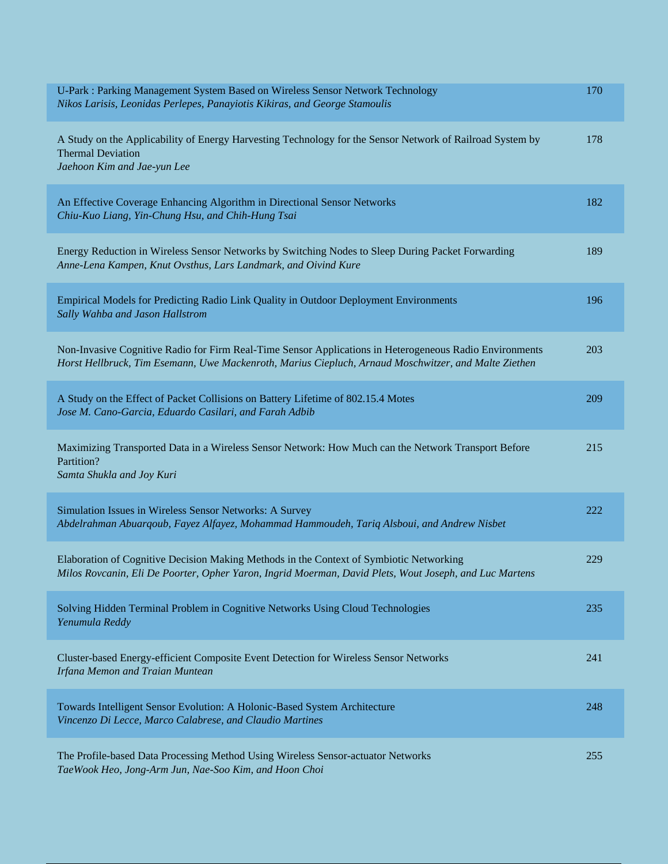| U-Park : Parking Management System Based on Wireless Sensor Network Technology<br>Nikos Larisis, Leonidas Perlepes, Panayiotis Kikiras, and George Stamoulis                                                    | 170 |
|-----------------------------------------------------------------------------------------------------------------------------------------------------------------------------------------------------------------|-----|
| A Study on the Applicability of Energy Harvesting Technology for the Sensor Network of Railroad System by<br><b>Thermal Deviation</b><br>Jaehoon Kim and Jae-yun Lee                                            | 178 |
| An Effective Coverage Enhancing Algorithm in Directional Sensor Networks<br>Chiu-Kuo Liang, Yin-Chung Hsu, and Chih-Hung Tsai                                                                                   | 182 |
| Energy Reduction in Wireless Sensor Networks by Switching Nodes to Sleep During Packet Forwarding<br>Anne-Lena Kampen, Knut Ovsthus, Lars Landmark, and Oivind Kure                                             | 189 |
| <b>Empirical Models for Predicting Radio Link Quality in Outdoor Deployment Environments</b><br>Sally Wahba and Jason Hallstrom                                                                                 | 196 |
| Non-Invasive Cognitive Radio for Firm Real-Time Sensor Applications in Heterogeneous Radio Environments<br>Horst Hellbruck, Tim Esemann, Uwe Mackenroth, Marius Ciepluch, Arnaud Moschwitzer, and Malte Ziethen | 203 |
| A Study on the Effect of Packet Collisions on Battery Lifetime of 802.15.4 Motes<br>Jose M. Cano-Garcia, Eduardo Casilari, and Farah Adbib                                                                      | 209 |
| Maximizing Transported Data in a Wireless Sensor Network: How Much can the Network Transport Before<br>Partition?<br>Samta Shukla and Joy Kuri                                                                  | 215 |
| Simulation Issues in Wireless Sensor Networks: A Survey<br>Abdelrahman Abuarqoub, Fayez Alfayez, Mohammad Hammoudeh, Tariq Alsboui, and Andrew Nisbet                                                           | 222 |
| Elaboration of Cognitive Decision Making Methods in the Context of Symbiotic Networking<br>Milos Rovcanin, Eli De Poorter, Opher Yaron, Ingrid Moerman, David Plets, Wout Joseph, and Luc Martens               | 229 |
| Solving Hidden Terminal Problem in Cognitive Networks Using Cloud Technologies<br>Yenumula Reddy                                                                                                                | 235 |
| Cluster-based Energy-efficient Composite Event Detection for Wireless Sensor Networks<br>Irfana Memon and Traian Muntean                                                                                        | 241 |
| Towards Intelligent Sensor Evolution: A Holonic-Based System Architecture<br>Vincenzo Di Lecce, Marco Calabrese, and Claudio Martines                                                                           | 248 |
| The Profile-based Data Processing Method Using Wireless Sensor-actuator Networks<br>TaeWook Heo, Jong-Arm Jun, Nae-Soo Kim, and Hoon Choi                                                                       | 255 |